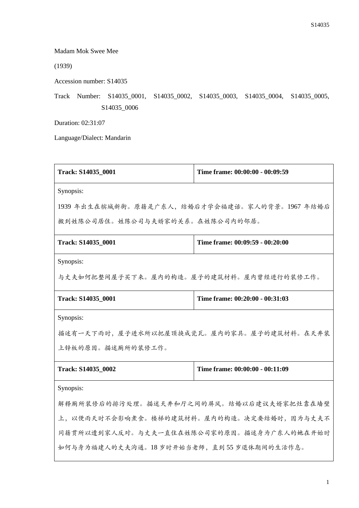Madam Mok Swee Mee

(1939)

Accession number: S14035

Track Number: S14035\_0001, S14035\_0002, S14035\_0003, S14035\_0004, S14035\_0005, S14035\_0006

Duration: 02:31:07

Language/Dialect: Mandarin

| Track: S14035_0001                              | Time frame: 00:00:00 - 00:09:59 |  |
|-------------------------------------------------|---------------------------------|--|
| Synopsis:                                       |                                 |  |
| 1939 年出生在槟城新街。原籍是广东人, 结婚后才学会福建话。家人的背景。1967 年结婚后 |                                 |  |
| 搬到姓陈公司居住。姓陈公司与夫婿家的关系。在姓陈公司内的邻居。                 |                                 |  |
| Track: S14035_0001                              | Time frame: 00:09:59 - 00:20:00 |  |
| Synopsis:                                       |                                 |  |
| 与丈夫如何把整间屋子买下来。屋内的构造。屋子的建筑材料。屋内曾经进行的装修工作。        |                                 |  |
| Track: S14035_0001                              | Time frame: 00:20:00 - 00:31:03 |  |
| Synopsis:                                       |                                 |  |
| 描述有一天下雨时,屋子进水所以把屋顶换成瓷瓦。屋内的家具。屋子的建筑材料。在天井装       |                                 |  |
| 上锌板的原因。描述厕所的装修工作。                               |                                 |  |
| Track: S14035_0002                              | Time frame: 00:00:00 - 00:11:09 |  |
| Synopsis:                                       |                                 |  |
| 解释厕所装修后的排污处理。描述天井和厅之间的屏风。结婚以后建议夫婿家把灶靠在墙壁        |                                 |  |
| 上,以便雨天时不会影响煮食。楼梯的建筑材料。屋内的构造。决定要结婚时,因为与丈夫不       |                                 |  |
| 同籍贯所以遭到家人反对。与丈夫一直住在姓陈公司家的原因。描述身为广东人的她在开始时       |                                 |  |
| 如何与身为福建人的丈夫沟通。18岁时开始当老师,直到55岁退休期间的生活作息。         |                                 |  |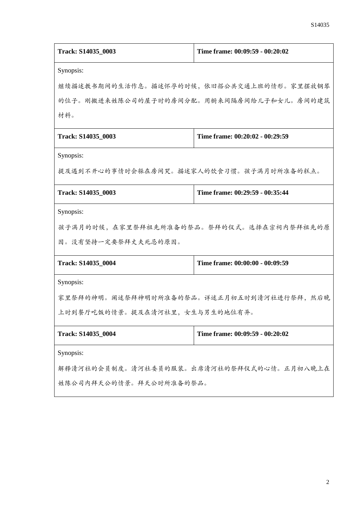| Track: S14035 0003                        | Time frame: 00:09:59 - 00:20:02           |  |
|-------------------------------------------|-------------------------------------------|--|
| Synopsis:                                 |                                           |  |
|                                           | 继续描述教书期间的生活作息。描述怀孕的时候,依旧搭公共交通上班的情形。家里摆放钢琴 |  |
|                                           | 的位子。刚搬进来姓陈公司的屋子时的房间分配。用橱来间隔房间给儿子和女儿。房间的建筑 |  |
| 材料。                                       |                                           |  |
| Track: S14035_0003                        | Time frame: 00:20:02 - 00:29:59           |  |
| Synopsis:                                 |                                           |  |
| 提及遇到不开心的事情时会躲在房间哭。描述家人的饮食习惯。孩子满月时所准备的糕点。  |                                           |  |
| Track: S14035_0003                        | Time frame: 00:29:59 - 00:35:44           |  |
| Synopsis:                                 |                                           |  |
|                                           | 孩子满月的时候,在家里祭拜祖先所准备的祭品。祭拜的仪式。选择在宗祠内祭拜祖先的原  |  |
| 因。没有坚持一定要祭拜丈夫死忌的原因。                       |                                           |  |
| Track: S14035_0004                        | Time frame: 00:00:00 - 00:09:59           |  |
| Synopsis:                                 |                                           |  |
| 家里祭拜的神明。阐述祭拜神明时所准备的祭品。详述正月初五时到清河社进行祭拜,然后晚 |                                           |  |
| 上时到餐厅吃饭的情景。提及在清河社里,女生与男生的地位有异。            |                                           |  |
| Track: S14035_0004                        | Time frame: 00:09:59 - 00:20:02           |  |
| Synopsis:                                 |                                           |  |
| 解释清河社的会员制度。清河社委员的服装。出席清河社的祭拜仪式的心情。正月初八晚上在 |                                           |  |
| 姓陈公司内拜天公的情景。拜天公时所准备的祭品。                   |                                           |  |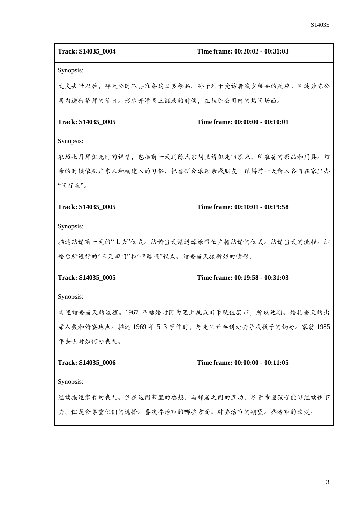| Track: S14035_0004                                | Time frame: 00:20:02 - 00:31:03           |  |
|---------------------------------------------------|-------------------------------------------|--|
| Synopsis:                                         |                                           |  |
|                                                   | 丈夫去世以后,拜天公时不再准备这么多祭品。孙子对于受访者减少祭品的反应。阐述姓陈公 |  |
| 司内进行祭拜的节日。形容开漳圣王诞辰的时候,在姓陈公司内的热闹场面。                |                                           |  |
| Track: S14035 0005                                | Time frame: 00:00:00 - 00:10:01           |  |
| Synopsis:                                         |                                           |  |
| 农历七月拜祖先时的详情,包括前一天到陈氏宗祠里请祖先回家来,所准备的祭品和用具。订         |                                           |  |
| 亲的时候依照广东人和福建人的习俗,把喜饼分派给亲戚朋友。结婚前一天新人各自在家里办         |                                           |  |
| "闹厅夜"。                                            |                                           |  |
| Track: S14035_0005                                | Time frame: 00:10:01 - 00:19:58           |  |
| Synopsis:                                         |                                           |  |
| 描述结婚前一天的"上头"仪式。结婚当天请送嫁娘帮忙主持结婚的仪式。结婚当天的流程。结        |                                           |  |
| 婚后所进行的"三天回门"和"带路鸡"仪式。结婚当天接新娘的情形。                  |                                           |  |
| Track: S14035_0005                                | Time frame: 00:19:58 - 00:31:03           |  |
| Synopsis:                                         |                                           |  |
| 阐述结婚当天的流程。1967年结婚时因为遇上抗议旧币贬值罢市,所以延期。婚礼当天的出        |                                           |  |
| 席人数和婚宴地点。描述 1969年 513 事件时,与先生开车到处去寻找孩子的奶粉。家翁 1985 |                                           |  |
| 年去世时如何办丧礼。                                        |                                           |  |
| Track: S14035 0006                                | Time frame: 00:00:00 - 00:11:05           |  |
| Synopsis:                                         |                                           |  |
| 继续描述家翁的丧礼。住在这间家里的感想。与邻居之间的互动。尽管希望孩子能够继续住下         |                                           |  |
| 去,但是会尊重他们的选择。喜欢乔治市的哪些方面。对乔治市的期望。乔治市的改变。           |                                           |  |
|                                                   |                                           |  |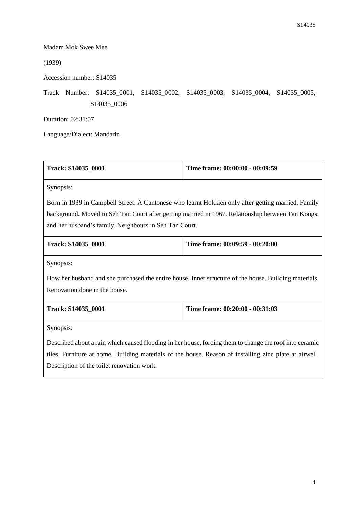## Madam Mok Swee Mee

(1939)

Accession number: S14035

Track Number: S14035\_0001, S14035\_0002, S14035\_0003, S14035\_0004, S14035\_0005, S14035\_0006

Duration: 02:31:07

Language/Dialect: Mandarin

| Track: S14035_0001                                                                                      | Time frame: 00:00:00 - 00:09:59 |  |
|---------------------------------------------------------------------------------------------------------|---------------------------------|--|
| Synopsis:                                                                                               |                                 |  |
| Born in 1939 in Campbell Street. A Cantonese who learnt Hokkien only after getting married. Family      |                                 |  |
| background. Moved to Seh Tan Court after getting married in 1967. Relationship between Tan Kongsi       |                                 |  |
| and her husband's family. Neighbours in Seh Tan Court.                                                  |                                 |  |
| Track: S14035_0001                                                                                      | Time frame: 00:09:59 - 00:20:00 |  |
| Synopsis:                                                                                               |                                 |  |
| How her husband and she purchased the entire house. Inner structure of the house. Building materials.   |                                 |  |
| Renovation done in the house.                                                                           |                                 |  |
| Track: S14035 0001                                                                                      | Time frame: 00:20:00 - 00:31:03 |  |
| Synopsis:                                                                                               |                                 |  |
| Described about a rain which caused flooding in her house, forcing them to change the roof into ceramic |                                 |  |
| tiles. Furniture at home. Building materials of the house. Reason of installing zinc plate at airwell.  |                                 |  |
| Description of the toilet renovation work.                                                              |                                 |  |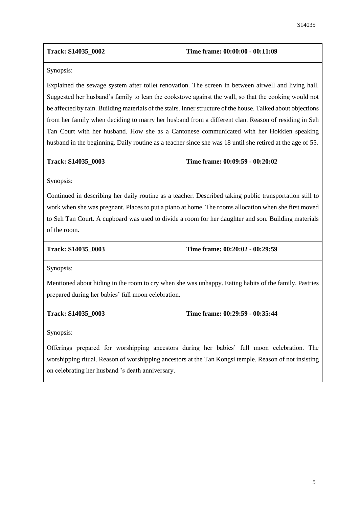| Track: S14035 0002 | Time frame: $00:00:00 - 00:11:09$ |
|--------------------|-----------------------------------|
|--------------------|-----------------------------------|

Synopsis:

Explained the sewage system after toilet renovation. The screen in between airwell and living hall. Suggested her husband's family to lean the cookstove against the wall, so that the cooking would not be affected by rain. Building materials of the stairs. Inner structure of the house. Talked about objections from her family when deciding to marry her husband from a different clan. Reason of residing in Seh Tan Court with her husband. How she as a Cantonese communicated with her Hokkien speaking husband in the beginning. Daily routine as a teacher since she was 18 until she retired at the age of 55.

| <b>Track: S14035 0003</b> | Time frame: $00:09:59 - 00:20:02$ |
|---------------------------|-----------------------------------|
|                           |                                   |

Synopsis:

Continued in describing her daily routine as a teacher. Described taking public transportation still to work when she was pregnant. Places to put a piano at home. The rooms allocation when she first moved to Seh Tan Court. A cupboard was used to divide a room for her daughter and son. Building materials of the room.

| Track: S14035 0003 |  |
|--------------------|--|
|--------------------|--|

**Time frame: 00:20:02 - 00:29:59** 

Synopsis:

Mentioned about hiding in the room to cry when she was unhappy. Eating habits of the family. Pastries prepared during her babies' full moon celebration.

| Track: S14035 0003 | Time frame: 00:29:59 - 00:35:44 |
|--------------------|---------------------------------|
|                    |                                 |

Synopsis:

Offerings prepared for worshipping ancestors during her babies' full moon celebration. The worshipping ritual. Reason of worshipping ancestors at the Tan Kongsi temple. Reason of not insisting on celebrating her husband 's death anniversary.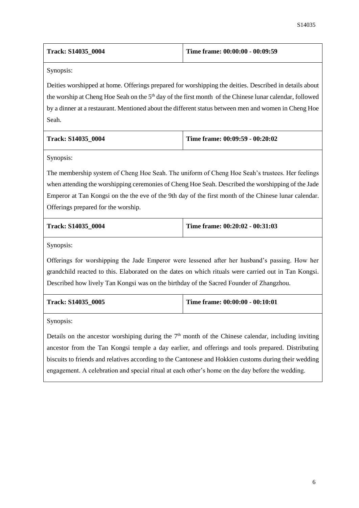| Time frame: $00:00:00 - 00:09:59$ |
|-----------------------------------|
|                                   |

Synopsis:

Deities worshipped at home. Offerings prepared for worshipping the deities. Described in details about the worship at Cheng Hoe Seah on the 5<sup>th</sup> day of the first month of the Chinese lunar calendar, followed by a dinner at a restaurant. Mentioned about the different status between men and women in Cheng Hoe Seah.

| <b>Track: S14035 0004</b> | Time frame: 00:09:59 - 00:20:02 |
|---------------------------|---------------------------------|
|                           |                                 |

Synopsis:

The membership system of Cheng Hoe Seah. The uniform of Cheng Hoe Seah's trustees. Her feelings when attending the worshipping ceremonies of Cheng Hoe Seah. Described the worshipping of the Jade Emperor at Tan Kongsi on the the eve of the 9th day of the first month of the Chinese lunar calendar. Offerings prepared for the worship.

| <b>Track: S14035 0004</b> | Time frame: $00:20:02 - 00:31:03$ |
|---------------------------|-----------------------------------|
|                           |                                   |

Synopsis:

Offerings for worshipping the Jade Emperor were lessened after her husband's passing. How her grandchild reacted to this. Elaborated on the dates on which rituals were carried out in Tan Kongsi. Described how lively Tan Kongsi was on the birthday of the Sacred Founder of Zhangzhou.

| Track: S14035 0005 | Time frame: $00:00:00 - 00:10:01$ |
|--------------------|-----------------------------------|
|                    |                                   |

Synopsis:

Details on the ancestor worshiping during the  $7<sup>th</sup>$  month of the Chinese calendar, including inviting ancestor from the Tan Kongsi temple a day earlier, and offerings and tools prepared. Distributing biscuits to friends and relatives according to the Cantonese and Hokkien customs during their wedding engagement. A celebration and special ritual at each other's home on the day before the wedding.